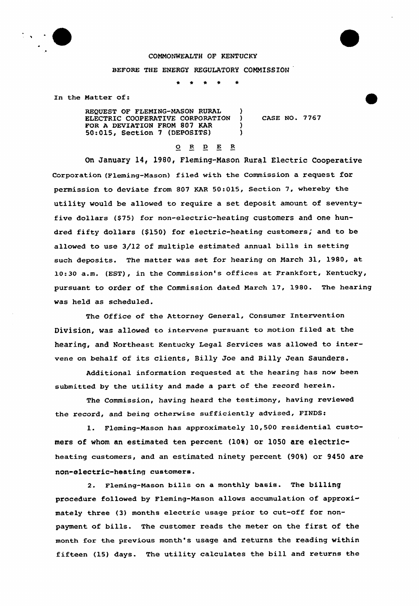

## COMMONWEALTH OF KENTUCKY

## BEFORE THE ENERGY REGULATORY COMMISSION

In the Matter of:

REQUEST OF FLEMING-MASON RURAL (1997) ELECTRIC COOPERATIUE CORPORATION ) FOR A DEVIATION FROM 807 KAR 50:015, Section <sup>7</sup> (DEPOSITS) )

cAsE No. 7767

## 0 R <sup>D</sup> E R

On January 14, l980, Fleming-Nason Rural Electric Cooperative Corporation (Fleming-Mason) filed with the Commission a request fOr permission to deviate from 807 KAR 50:015, Section 7, whereby the utility would be allowed to require a set deposit amount of seventyfive dollars (\$75) for non-electric-heating customers and one hundred fifty dollars (\$150) for electric-heating customers, and to be allowed to use 3/12 of multiple estimated annual bills in setting such deposits. The matter was set for hearing on March 31, 1980, at 10:30 a.m. (EST), in the Commission's offices at Frankfort, Kentucky, pursuant to order of the Commission dated March 17, 1980. The hearing was held as scheduled.

The Office of the Attorney General, Consumer Intervention Division, was allowed to intervene pursuant to motion filed at the hearing, and Northeast Kentucky Legal Services was allowed to intervene on behalf of its clients, Billy Joe and Billy Jean Saunders.

Additional information requested at the hearing has now been submitted by the utility and made a part of the record herein.

The Commission, having heard the testimony, having reviewed the record, and being otherwise sufficiently advised, FINDS:

1. Fleming-Mason has approximately 10,500 residential customers of whom an estimated ten percent (10%) or 1050 are electricheating customers, and an estimated ninety percent (90%) or 9450 are non-electric-heating customers.

2. Fleming-Mason bills on a monthly basis. The billing procedure followed by Fleming-Mason allows accumulation of approxi mately three (3) months electric usage prior to cut-off for nonpayment of bills. The customer reads the meter on the first of the month for the previous month's usage and returns the reading within fifteen (15) days. The utility calculates the bill and returns the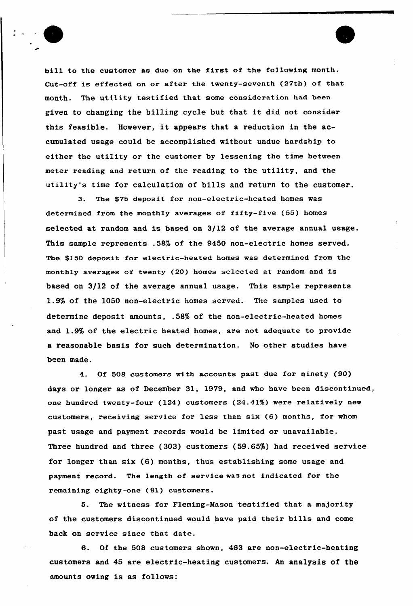bill to the customer as due on the first of the following month. Cut-off is effected on or after the twenty-seventh (27th) of that month. The utility testified that some consideration had been given to changing the billing cycle but that it did not consider this feasible, However, it appears that <sup>a</sup> reduction in the accumulated usage could be accomplished without undue hardship to either the utility or the customer by lessening the time between meter reading and return of the reading to the utility, and the utility's time for calculation of bills and return to the customer.

3. The \$75 deposit for non-electric-heated homes was determined from the monthly averages of fifty-five (55) homes selected at random and is based on 3/12 of the average annual usage. This sample represents .58% of the 9450 non-electric homes served. The \$150 deposit for electric-heated homes was determined from the monthly averages of twenty (20) homes selected at random and is based on 3/12 of the average annual usage. This sample represents 1.9% of the 1050 non-electric homes served. The samples used to determine deposit amounts, .58% of the non-electric-heated homes and 1.9% of the electric heated homes, are not adequate to provide a reasonable basis for such determination. No other studies have been made.

4. Of 508 customers with accounts past due for ninety (90) days or longer as of December 31, 1979, and who have been discontinued, one hundred twenty-four (124) customers (24.41%) were relatively new customers, receiving service for less than six (6) months, for whom past usage and payment records would be limited or unavailable. Three hundred and three (303) customers ( 59.65%) had received service for longer than six (6) months, thus establishing some usage and payment record. The length of service was not indicated for the remaining eighty-one (Sl) customers.

5. The witness for Fleming-Mason testified that a majority of the customers discontinued would have paid their bills and come back on service since that date.

6. Of the 508 customers shown, 463 are non-electric-heating customers and 45 are electric-heating customers. An analysis of the amounts owing is as follows: